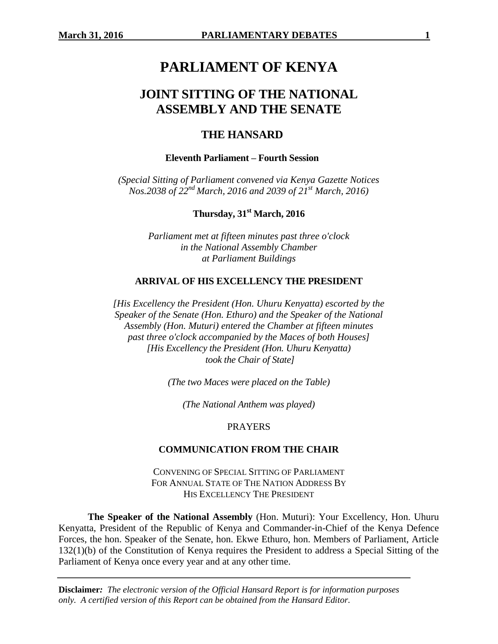# **PARLIAMENT OF KENYA**

# **JOINT SITTING OF THE NATIONAL ASSEMBLY AND THE SENATE**

# **THE HANSARD**

#### **Eleventh Parliament – Fourth Session**

*(Special Sitting of Parliament convened via Kenya Gazette Notices Nos.2038 of 22nd March, 2016 and 2039 of 21st March, 2016)*

**Thursday, 31st March, 2016**

*Parliament met at fifteen minutes past three o'clock in the National Assembly Chamber at Parliament Buildings*

#### **ARRIVAL OF HIS EXCELLENCY THE PRESIDENT**

*[His Excellency the President (Hon. Uhuru Kenyatta) escorted by the Speaker of the Senate (Hon. Ethuro) and the Speaker of the National Assembly (Hon. Muturi) entered the Chamber at fifteen minutes past three o'clock accompanied by the Maces of both Houses] [His Excellency the President (Hon. Uhuru Kenyatta) took the Chair of State]*

*(The two Maces were placed on the Table)*

*(The National Anthem was played)*

#### **PRAYERS**

#### **COMMUNICATION FROM THE CHAIR**

CONVENING OF SPECIAL SITTING OF PARLIAMENT FOR ANNUAL STATE OF THE NATION ADDRESS BY HIS EXCELLENCY THE PRESIDENT

**The Speaker of the National Assembly** (Hon. Muturi): Your Excellency, Hon. Uhuru Kenyatta, President of the Republic of Kenya and Commander-in-Chief of the Kenya Defence Forces, the hon. Speaker of the Senate, hon. Ekwe Ethuro, hon. Members of Parliament, Article 132(1)(b) of the Constitution of Kenya requires the President to address a Special Sitting of the Parliament of Kenya once every year and at any other time.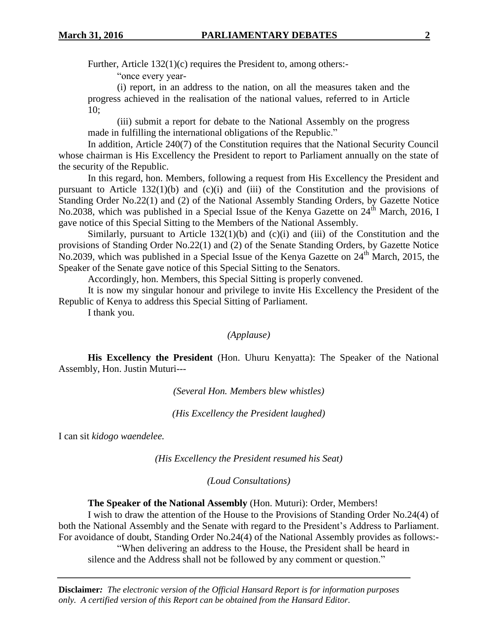Further, Article 132(1)(c) requires the President to, among others:-

"once every year-

(i) report, in an address to the nation, on all the measures taken and the progress achieved in the realisation of the national values, referred to in Article 10;

(iii) submit a report for debate to the National Assembly on the progress made in fulfilling the international obligations of the Republic."

In addition, Article 240(7) of the Constitution requires that the National Security Council whose chairman is His Excellency the President to report to Parliament annually on the state of the security of the Republic.

In this regard, hon. Members, following a request from His Excellency the President and pursuant to Article 132(1)(b) and (c)(i) and (iii) of the Constitution and the provisions of Standing Order No.22(1) and (2) of the National Assembly Standing Orders, by Gazette Notice No.2038, which was published in a Special Issue of the Kenya Gazette on 24<sup>th</sup> March, 2016, I gave notice of this Special Sitting to the Members of the National Assembly.

Similarly, pursuant to Article  $132(1)(b)$  and  $(c)(i)$  and  $(iii)$  of the Constitution and the provisions of Standing Order No.22(1) and (2) of the Senate Standing Orders, by Gazette Notice No.2039, which was published in a Special Issue of the Kenya Gazette on  $24<sup>th</sup>$  March, 2015, the Speaker of the Senate gave notice of this Special Sitting to the Senators.

Accordingly, hon. Members, this Special Sitting is properly convened.

It is now my singular honour and privilege to invite His Excellency the President of the Republic of Kenya to address this Special Sitting of Parliament.

I thank you.

*(Applause)*

**His Excellency the President** (Hon. Uhuru Kenyatta): The Speaker of the National Assembly, Hon. Justin Muturi---

*(Several Hon. Members blew whistles)*

*(His Excellency the President laughed)*

I can sit *kidogo waendelee.*

*(His Excellency the President resumed his Seat)*

*(Loud Consultations)*

**The Speaker of the National Assembly** (Hon. Muturi): Order, Members!

I wish to draw the attention of the House to the Provisions of Standing Order No.24(4) of both the National Assembly and the Senate with regard to the President's Address to Parliament. For avoidance of doubt, Standing Order No.24(4) of the National Assembly provides as follows:- "When delivering an address to the House, the President shall be heard in silence and the Address shall not be followed by any comment or question."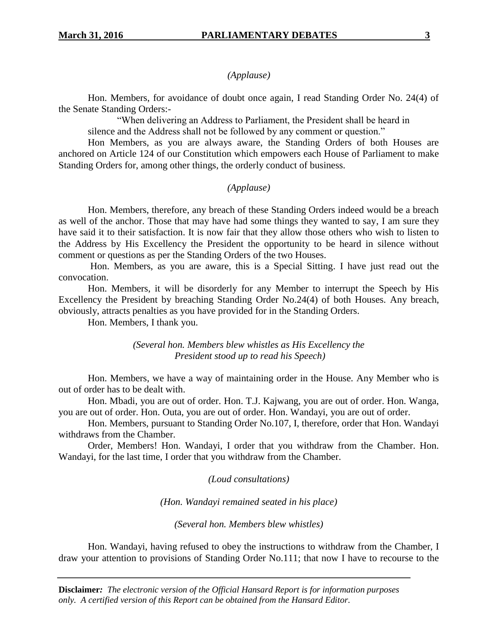#### *(Applause)*

Hon. Members, for avoidance of doubt once again, I read Standing Order No. 24(4) of the Senate Standing Orders:-

"When delivering an Address to Parliament, the President shall be heard in

silence and the Address shall not be followed by any comment or question."

Hon Members, as you are always aware, the Standing Orders of both Houses are anchored on Article 124 of our Constitution which empowers each House of Parliament to make Standing Orders for, among other things, the orderly conduct of business.

## *(Applause)*

Hon. Members, therefore, any breach of these Standing Orders indeed would be a breach as well of the anchor. Those that may have had some things they wanted to say, I am sure they have said it to their satisfaction. It is now fair that they allow those others who wish to listen to the Address by His Excellency the President the opportunity to be heard in silence without comment or questions as per the Standing Orders of the two Houses.

Hon. Members, as you are aware, this is a Special Sitting. I have just read out the convocation.

Hon. Members, it will be disorderly for any Member to interrupt the Speech by His Excellency the President by breaching Standing Order No.24(4) of both Houses. Any breach, obviously, attracts penalties as you have provided for in the Standing Orders.

Hon. Members, I thank you.

*(Several hon. Members blew whistles as His Excellency the President stood up to read his Speech)*

Hon. Members, we have a way of maintaining order in the House. Any Member who is out of order has to be dealt with.

Hon. Mbadi, you are out of order. Hon. T.J. Kajwang, you are out of order. Hon. Wanga, you are out of order. Hon. Outa, you are out of order. Hon. Wandayi, you are out of order.

Hon. Members, pursuant to Standing Order No.107, I, therefore, order that Hon. Wandayi withdraws from the Chamber.

Order, Members! Hon. Wandayi, I order that you withdraw from the Chamber. Hon. Wandayi, for the last time, I order that you withdraw from the Chamber.

*(Loud consultations)*

*(Hon. Wandayi remained seated in his place)*

*(Several hon. Members blew whistles)*

Hon. Wandayi, having refused to obey the instructions to withdraw from the Chamber, I draw your attention to provisions of Standing Order No.111; that now I have to recourse to the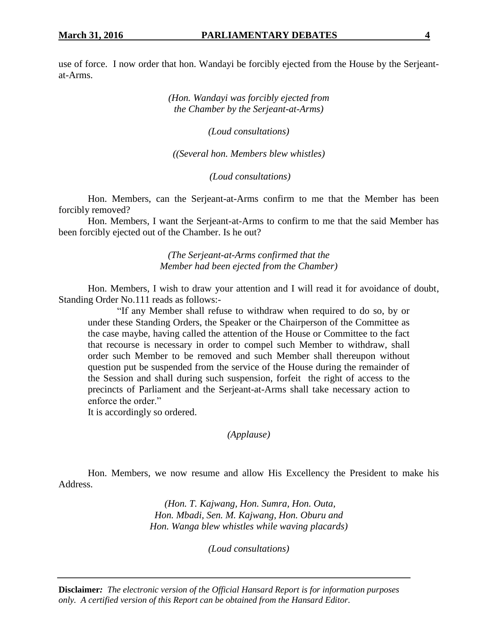use of force. I now order that hon. Wandayi be forcibly ejected from the House by the Serjeantat-Arms.

> *(Hon. Wandayi was forcibly ejected from the Chamber by the Serjeant-at-Arms)*

> > *(Loud consultations)*

*((Several hon. Members blew whistles)*

*(Loud consultations)*

Hon. Members, can the Serjeant-at-Arms confirm to me that the Member has been forcibly removed?

Hon. Members, I want the Serjeant-at-Arms to confirm to me that the said Member has been forcibly ejected out of the Chamber. Is he out?

> *(The Serjeant-at-Arms confirmed that the Member had been ejected from the Chamber)*

Hon. Members, I wish to draw your attention and I will read it for avoidance of doubt, Standing Order No.111 reads as follows:-

"If any Member shall refuse to withdraw when required to do so, by or under these Standing Orders, the Speaker or the Chairperson of the Committee as the case maybe, having called the attention of the House or Committee to the fact that recourse is necessary in order to compel such Member to withdraw, shall order such Member to be removed and such Member shall thereupon without question put be suspended from the service of the House during the remainder of the Session and shall during such suspension, forfeit the right of access to the precincts of Parliament and the Serjeant-at-Arms shall take necessary action to enforce the order."

It is accordingly so ordered.

*(Applause)*

Hon. Members, we now resume and allow His Excellency the President to make his Address.

> *(Hon. T. Kajwang, Hon. Sumra, Hon. Outa, Hon. Mbadi, Sen. M. Kajwang, Hon. Oburu and Hon. Wanga blew whistles while waving placards)*

> > *(Loud consultations)*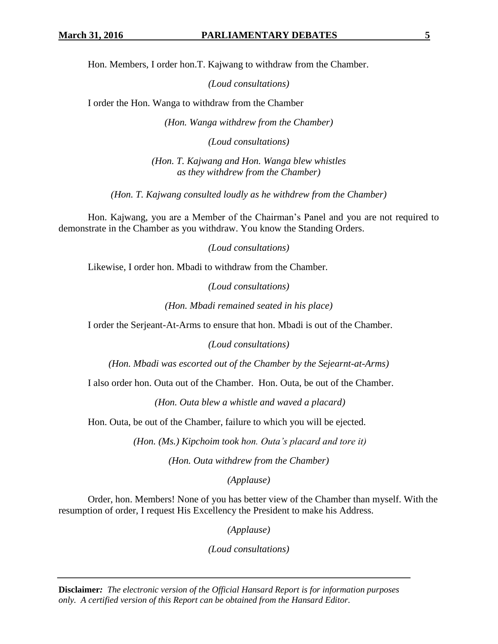Hon. Members, I order hon.T. Kajwang to withdraw from the Chamber.

*(Loud consultations)*

I order the Hon. Wanga to withdraw from the Chamber

*(Hon. Wanga withdrew from the Chamber)*

*(Loud consultations)*

*(Hon. T. Kajwang and Hon. Wanga blew whistles as they withdrew from the Chamber)*

*(Hon. T. Kajwang consulted loudly as he withdrew from the Chamber)*

Hon. Kajwang, you are a Member of the Chairman's Panel and you are not required to demonstrate in the Chamber as you withdraw. You know the Standing Orders.

*(Loud consultations)*

Likewise, I order hon. Mbadi to withdraw from the Chamber.

*(Loud consultations)*

*(Hon. Mbadi remained seated in his place)*

I order the Serjeant-At-Arms to ensure that hon. Mbadi is out of the Chamber.

*(Loud consultations)*

*(Hon. Mbadi was escorted out of the Chamber by the Sejearnt-at-Arms)*

I also order hon. Outa out of the Chamber. Hon. Outa, be out of the Chamber.

*(Hon. Outa blew a whistle and waved a placard)*

Hon. Outa, be out of the Chamber, failure to which you will be ejected.

*(Hon. (Ms.) Kipchoim took hon. Outa's placard and tore it)*

*(Hon. Outa withdrew from the Chamber)*

*(Applause)*

Order, hon. Members! None of you has better view of the Chamber than myself. With the resumption of order, I request His Excellency the President to make his Address.

*(Applause)*

*(Loud consultations)*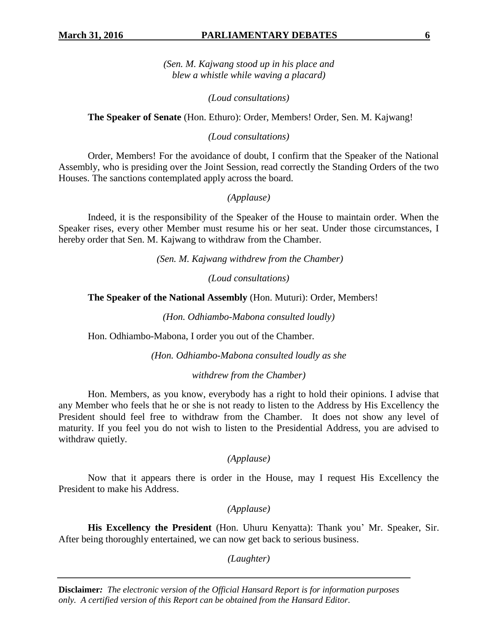## **March 31, 2016 PARLIAMENTARY DEBATES 6**

*(Sen. M. Kajwang stood up in his place and blew a whistle while waving a placard)*

*(Loud consultations)*

**The Speaker of Senate** (Hon. Ethuro): Order, Members! Order, Sen. M. Kajwang!

*(Loud consultations)*

Order, Members! For the avoidance of doubt, I confirm that the Speaker of the National Assembly, who is presiding over the Joint Session, read correctly the Standing Orders of the two Houses. The sanctions contemplated apply across the board.

*(Applause)*

Indeed, it is the responsibility of the Speaker of the House to maintain order. When the Speaker rises, every other Member must resume his or her seat. Under those circumstances, I hereby order that Sen. M. Kajwang to withdraw from the Chamber.

*(Sen. M. Kajwang withdrew from the Chamber)*

*(Loud consultations)*

**The Speaker of the National Assembly** (Hon. Muturi): Order, Members!

*(Hon. Odhiambo-Mabona consulted loudly)*

Hon. Odhiambo-Mabona, I order you out of the Chamber.

*(Hon. Odhiambo-Mabona consulted loudly as she* 

*withdrew from the Chamber)*

Hon. Members, as you know, everybody has a right to hold their opinions. I advise that any Member who feels that he or she is not ready to listen to the Address by His Excellency the President should feel free to withdraw from the Chamber. It does not show any level of maturity. If you feel you do not wish to listen to the Presidential Address, you are advised to withdraw quietly.

*(Applause)*

Now that it appears there is order in the House, may I request His Excellency the President to make his Address.

*(Applause)*

**His Excellency the President** (Hon. Uhuru Kenyatta): Thank you' Mr. Speaker, Sir. After being thoroughly entertained, we can now get back to serious business.

*(Laughter)*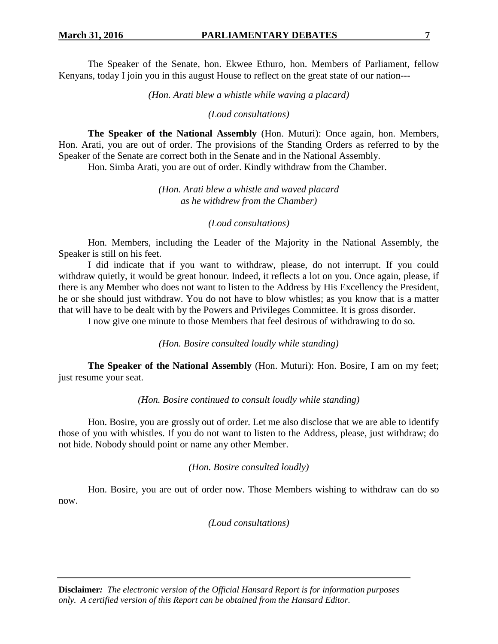The Speaker of the Senate, hon. Ekwee Ethuro, hon. Members of Parliament, fellow Kenyans, today I join you in this august House to reflect on the great state of our nation---

*(Hon. Arati blew a whistle while waving a placard)*

*(Loud consultations)*

**The Speaker of the National Assembly** (Hon. Muturi): Once again, hon. Members, Hon. Arati, you are out of order. The provisions of the Standing Orders as referred to by the Speaker of the Senate are correct both in the Senate and in the National Assembly.

Hon. Simba Arati, you are out of order. Kindly withdraw from the Chamber.

*(Hon. Arati blew a whistle and waved placard as he withdrew from the Chamber)*

*(Loud consultations)* 

Hon. Members, including the Leader of the Majority in the National Assembly, the Speaker is still on his feet.

I did indicate that if you want to withdraw, please, do not interrupt. If you could withdraw quietly, it would be great honour. Indeed, it reflects a lot on you. Once again, please, if there is any Member who does not want to listen to the Address by His Excellency the President, he or she should just withdraw. You do not have to blow whistles; as you know that is a matter that will have to be dealt with by the Powers and Privileges Committee. It is gross disorder.

I now give one minute to those Members that feel desirous of withdrawing to do so.

*(Hon. Bosire consulted loudly while standing)*

**The Speaker of the National Assembly** (Hon. Muturi): Hon. Bosire, I am on my feet; just resume your seat.

*(Hon. Bosire continued to consult loudly while standing)*

Hon. Bosire, you are grossly out of order. Let me also disclose that we are able to identify those of you with whistles. If you do not want to listen to the Address, please, just withdraw; do not hide. Nobody should point or name any other Member.

*(Hon. Bosire consulted loudly)*

Hon. Bosire, you are out of order now. Those Members wishing to withdraw can do so now.

*(Loud consultations)*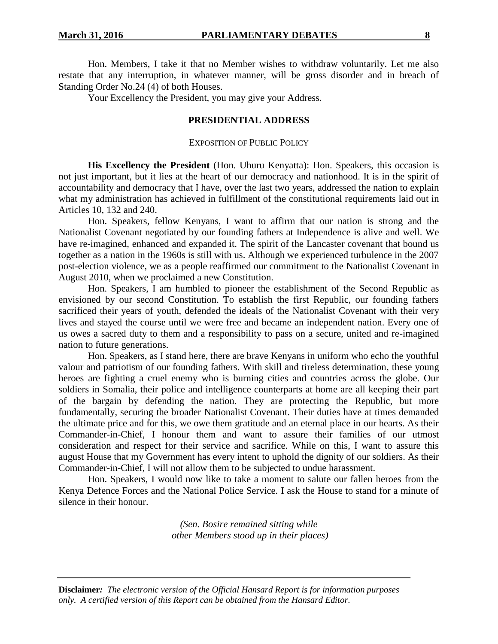Hon. Members, I take it that no Member wishes to withdraw voluntarily. Let me also restate that any interruption, in whatever manner, will be gross disorder and in breach of Standing Order No.24 (4) of both Houses.

Your Excellency the President, you may give your Address.

## **PRESIDENTIAL ADDRESS**

#### EXPOSITION OF PUBLIC POLICY

**His Excellency the President** (Hon. Uhuru Kenyatta): Hon. Speakers, this occasion is not just important, but it lies at the heart of our democracy and nationhood. It is in the spirit of accountability and democracy that I have, over the last two years, addressed the nation to explain what my administration has achieved in fulfillment of the constitutional requirements laid out in Articles 10, 132 and 240.

Hon. Speakers, fellow Kenyans, I want to affirm that our nation is strong and the Nationalist Covenant negotiated by our founding fathers at Independence is alive and well. We have re-imagined, enhanced and expanded it. The spirit of the Lancaster covenant that bound us together as a nation in the 1960s is still with us. Although we experienced turbulence in the 2007 post-election violence, we as a people reaffirmed our commitment to the Nationalist Covenant in August 2010, when we proclaimed a new Constitution.

Hon. Speakers, I am humbled to pioneer the establishment of the Second Republic as envisioned by our second Constitution. To establish the first Republic, our founding fathers sacrificed their years of youth, defended the ideals of the Nationalist Covenant with their very lives and stayed the course until we were free and became an independent nation. Every one of us owes a sacred duty to them and a responsibility to pass on a secure, united and re-imagined nation to future generations.

Hon. Speakers, as I stand here, there are brave Kenyans in uniform who echo the youthful valour and patriotism of our founding fathers. With skill and tireless determination, these young heroes are fighting a cruel enemy who is burning cities and countries across the globe. Our soldiers in Somalia, their police and intelligence counterparts at home are all keeping their part of the bargain by defending the nation. They are protecting the Republic, but more fundamentally, securing the broader Nationalist Covenant. Their duties have at times demanded the ultimate price and for this, we owe them gratitude and an eternal place in our hearts. As their Commander-in-Chief, I honour them and want to assure their families of our utmost consideration and respect for their service and sacrifice. While on this, I want to assure this august House that my Government has every intent to uphold the dignity of our soldiers. As their Commander-in-Chief, I will not allow them to be subjected to undue harassment.

Hon. Speakers, I would now like to take a moment to salute our fallen heroes from the Kenya Defence Forces and the National Police Service. I ask the House to stand for a minute of silence in their honour.

> *(Sen. Bosire remained sitting while other Members stood up in their places)*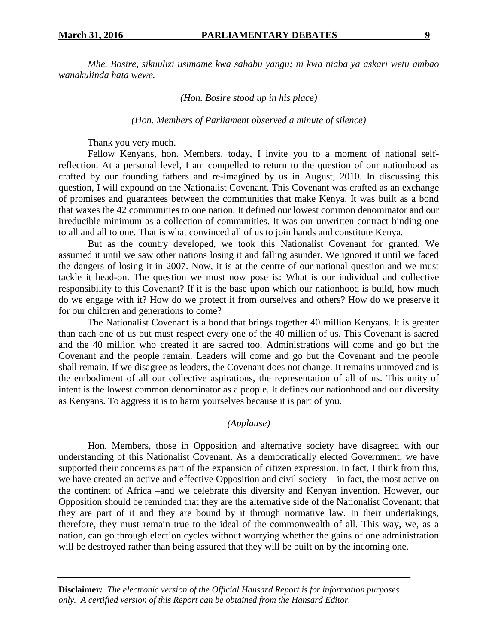*Mhe. Bosire, sikuulizi usimame kwa sababu yangu; ni kwa niaba ya askari wetu ambao wanakulinda hata wewe.*

*(Hon. Bosire stood up in his place)*

*(Hon. Members of Parliament observed a minute of silence)*

Thank you very much.

Fellow Kenyans, hon. Members, today, I invite you to a moment of national selfreflection. At a personal level, I am compelled to return to the question of our nationhood as crafted by our founding fathers and re-imagined by us in August, 2010. In discussing this question, I will expound on the Nationalist Covenant. This Covenant was crafted as an exchange of promises and guarantees between the communities that make Kenya. It was built as a bond that waxes the 42 communities to one nation. It defined our lowest common denominator and our irreducible minimum as a collection of communities. It was our unwritten contract binding one to all and all to one. That is what convinced all of us to join hands and constitute Kenya.

But as the country developed, we took this Nationalist Covenant for granted. We assumed it until we saw other nations losing it and falling asunder. We ignored it until we faced the dangers of losing it in 2007. Now, it is at the centre of our national question and we must tackle it head-on. The question we must now pose is: What is our individual and collective responsibility to this Covenant? If it is the base upon which our nationhood is build, how much do we engage with it? How do we protect it from ourselves and others? How do we preserve it for our children and generations to come?

The Nationalist Covenant is a bond that brings together 40 million Kenyans. It is greater than each one of us but must respect every one of the 40 million of us. This Covenant is sacred and the 40 million who created it are sacred too. Administrations will come and go but the Covenant and the people remain. Leaders will come and go but the Covenant and the people shall remain. If we disagree as leaders, the Covenant does not change. It remains unmoved and is the embodiment of all our collective aspirations, the representation of all of us. This unity of intent is the lowest common denominator as a people. It defines our nationhood and our diversity as Kenyans. To aggress it is to harm yourselves because it is part of you.

#### *(Applause)*

Hon. Members, those in Opposition and alternative society have disagreed with our understanding of this Nationalist Covenant. As a democratically elected Government, we have supported their concerns as part of the expansion of citizen expression. In fact, I think from this, we have created an active and effective Opposition and civil society – in fact, the most active on the continent of Africa –and we celebrate this diversity and Kenyan invention. However, our Opposition should be reminded that they are the alternative side of the Nationalist Covenant; that they are part of it and they are bound by it through normative law. In their undertakings, therefore, they must remain true to the ideal of the commonwealth of all. This way, we, as a nation, can go through election cycles without worrying whether the gains of one administration will be destroyed rather than being assured that they will be built on by the incoming one.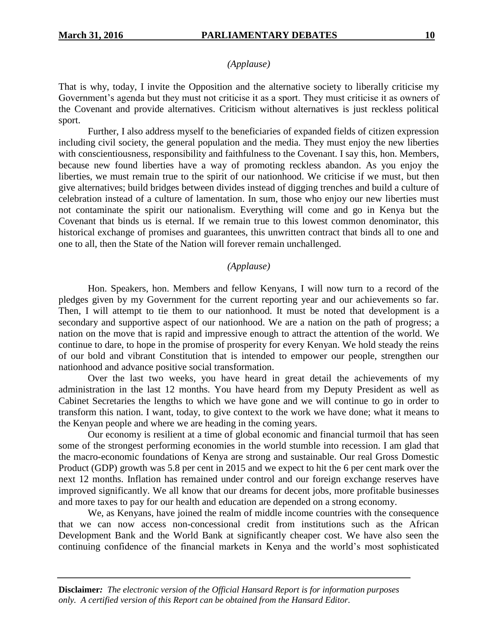## *(Applause)*

That is why, today, I invite the Opposition and the alternative society to liberally criticise my Government's agenda but they must not criticise it as a sport. They must criticise it as owners of the Covenant and provide alternatives. Criticism without alternatives is just reckless political sport.

Further, I also address myself to the beneficiaries of expanded fields of citizen expression including civil society, the general population and the media. They must enjoy the new liberties with conscientiousness, responsibility and faithfulness to the Covenant. I say this, hon. Members, because new found liberties have a way of promoting reckless abandon. As you enjoy the liberties, we must remain true to the spirit of our nationhood. We criticise if we must, but then give alternatives; build bridges between divides instead of digging trenches and build a culture of celebration instead of a culture of lamentation. In sum, those who enjoy our new liberties must not contaminate the spirit our nationalism. Everything will come and go in Kenya but the Covenant that binds us is eternal. If we remain true to this lowest common denominator, this historical exchange of promises and guarantees, this unwritten contract that binds all to one and one to all, then the State of the Nation will forever remain unchallenged.

#### *(Applause)*

Hon. Speakers, hon. Members and fellow Kenyans, I will now turn to a record of the pledges given by my Government for the current reporting year and our achievements so far. Then, I will attempt to tie them to our nationhood. It must be noted that development is a secondary and supportive aspect of our nationhood. We are a nation on the path of progress; a nation on the move that is rapid and impressive enough to attract the attention of the world. We continue to dare, to hope in the promise of prosperity for every Kenyan. We hold steady the reins of our bold and vibrant Constitution that is intended to empower our people, strengthen our nationhood and advance positive social transformation.

Over the last two weeks, you have heard in great detail the achievements of my administration in the last 12 months. You have heard from my Deputy President as well as Cabinet Secretaries the lengths to which we have gone and we will continue to go in order to transform this nation. I want, today, to give context to the work we have done; what it means to the Kenyan people and where we are heading in the coming years.

Our economy is resilient at a time of global economic and financial turmoil that has seen some of the strongest performing economies in the world stumble into recession. I am glad that the macro-economic foundations of Kenya are strong and sustainable. Our real Gross Domestic Product (GDP) growth was 5.8 per cent in 2015 and we expect to hit the 6 per cent mark over the next 12 months. Inflation has remained under control and our foreign exchange reserves have improved significantly. We all know that our dreams for decent jobs, more profitable businesses and more taxes to pay for our health and education are depended on a strong economy.

We, as Kenyans, have joined the realm of middle income countries with the consequence that we can now access non-concessional credit from institutions such as the African Development Bank and the World Bank at significantly cheaper cost. We have also seen the continuing confidence of the financial markets in Kenya and the world's most sophisticated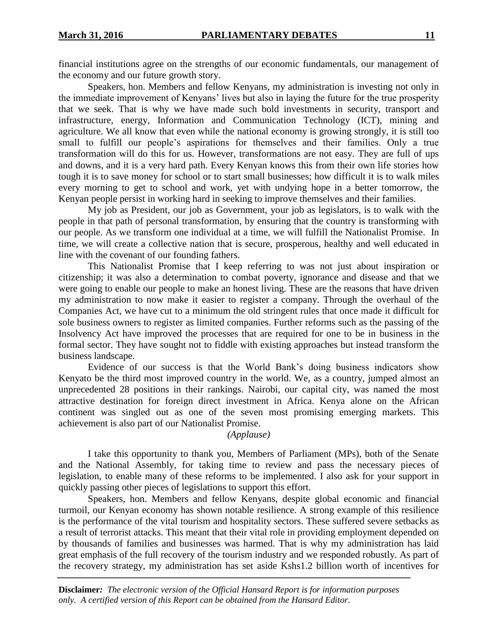financial institutions agree on the strengths of our economic fundamentals, our management of the economy and our future growth story.

Speakers, hon. Members and fellow Kenyans, my administration is investing not only in the immediate improvement of Kenyans' lives but also in laying the future for the true prosperity that we seek. That is why we have made such bold investments in security, transport and infrastructure, energy, Information and Communication Technology (ICT), mining and agriculture. We all know that even while the national economy is growing strongly, it is still too small to fulfill our people's aspirations for themselves and their families. Only a true transformation will do this for us. However, transformations are not easy. They are full of ups and downs, and it is a very hard path. Every Kenyan knows this from their own life stories how tough it is to save money for school or to start small businesses; how difficult it is to walk miles every morning to get to school and work, yet with undying hope in a better tomorrow, the Kenyan people persist in working hard in seeking to improve themselves and their families.

My job as President, our job as Government, your job as legislators, is to walk with the people in that path of personal transformation, by ensuring that the country is transforming with our people. As we transform one individual at a time, we will fulfill the Nationalist Promise. In time, we will create a collective nation that is secure, prosperous, healthy and well educated in line with the covenant of our founding fathers.

This Nationalist Promise that I keep referring to was not just about inspiration or citizenship; it was also a determination to combat poverty, ignorance and disease and that we were going to enable our people to make an honest living. These are the reasons that have driven my administration to now make it easier to register a company. Through the overhaul of the Companies Act, we have cut to a minimum the old stringent rules that once made it difficult for sole business owners to register as limited companies. Further reforms such as the passing of the Insolvency Act have improved the processes that are required for one to be in business in the formal sector. They have sought not to fiddle with existing approaches but instead transform the business landscape.

Evidence of our success is that the World Bank's doing business indicators show Kenyato be the third most improved country in the world. We, as a country, jumped almost an unprecedented 28 positions in their rankings. Nairobi, our capital city, was named the most attractive destination for foreign direct investment in Africa. Kenya alone on the African continent was singled out as one of the seven most promising emerging markets. This achievement is also part of our Nationalist Promise.

## *(Applause)*

I take this opportunity to thank you, Members of Parliament (MPs), both of the Senate and the National Assembly, for taking time to review and pass the necessary pieces of legislation, to enable many of these reforms to be implemented. I also ask for your support in quickly passing other pieces of legislations to support this effort.

Speakers, hon. Members and fellow Kenyans, despite global economic and financial turmoil, our Kenyan economy has shown notable resilience. A strong example of this resilience is the performance of the vital tourism and hospitality sectors. These suffered severe setbacks as a result of terrorist attacks. This meant that their vital role in providing employment depended on by thousands of families and businesses was harmed. That is why my administration has laid great emphasis of the full recovery of the tourism industry and we responded robustly. As part of the recovery strategy, my administration has set aside Kshs1.2 billion worth of incentives for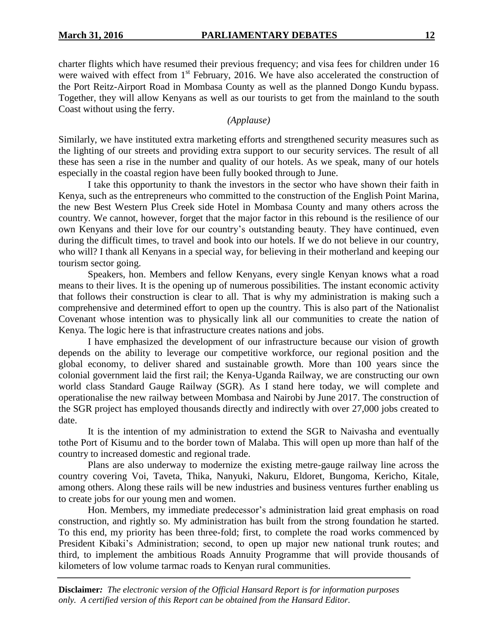charter flights which have resumed their previous frequency; and visa fees for children under 16 were waived with effect from 1<sup>st</sup> February, 2016. We have also accelerated the construction of the Port Reitz-Airport Road in Mombasa County as well as the planned Dongo Kundu bypass. Together, they will allow Kenyans as well as our tourists to get from the mainland to the south Coast without using the ferry.

*(Applause)*

Similarly, we have instituted extra marketing efforts and strengthened security measures such as the lighting of our streets and providing extra support to our security services. The result of all these has seen a rise in the number and quality of our hotels. As we speak, many of our hotels especially in the coastal region have been fully booked through to June.

I take this opportunity to thank the investors in the sector who have shown their faith in Kenya, such as the entrepreneurs who committed to the construction of the English Point Marina, the new Best Western Plus Creek side Hotel in Mombasa County and many others across the country. We cannot, however, forget that the major factor in this rebound is the resilience of our own Kenyans and their love for our country's outstanding beauty. They have continued, even during the difficult times, to travel and book into our hotels. If we do not believe in our country, who will? I thank all Kenyans in a special way, for believing in their motherland and keeping our tourism sector going.

Speakers, hon. Members and fellow Kenyans, every single Kenyan knows what a road means to their lives. It is the opening up of numerous possibilities. The instant economic activity that follows their construction is clear to all. That is why my administration is making such a comprehensive and determined effort to open up the country. This is also part of the Nationalist Covenant whose intention was to physically link all our communities to create the nation of Kenya. The logic here is that infrastructure creates nations and jobs.

I have emphasized the development of our infrastructure because our vision of growth depends on the ability to leverage our competitive workforce, our regional position and the global economy, to deliver shared and sustainable growth. More than 100 years since the colonial government laid the first rail; the Kenya-Uganda Railway, we are constructing our own world class Standard Gauge Railway (SGR). As I stand here today, we will complete and operationalise the new railway between Mombasa and Nairobi by June 2017. The construction of the SGR project has employed thousands directly and indirectly with over 27,000 jobs created to date.

It is the intention of my administration to extend the SGR to Naivasha and eventually tothe Port of Kisumu and to the border town of Malaba. This will open up more than half of the country to increased domestic and regional trade.

Plans are also underway to modernize the existing metre-gauge railway line across the country covering Voi, Taveta, Thika, Nanyuki, Nakuru, Eldoret, Bungoma, Kericho, Kitale, among others. Along these rails will be new industries and business ventures further enabling us to create jobs for our young men and women.

Hon. Members, my immediate predecessor's administration laid great emphasis on road construction, and rightly so. My administration has built from the strong foundation he started. To this end, my priority has been three-fold; first, to complete the road works commenced by President Kibaki's Administration; second, to open up major new national trunk routes; and third, to implement the ambitious Roads Annuity Programme that will provide thousands of kilometers of low volume tarmac roads to Kenyan rural communities.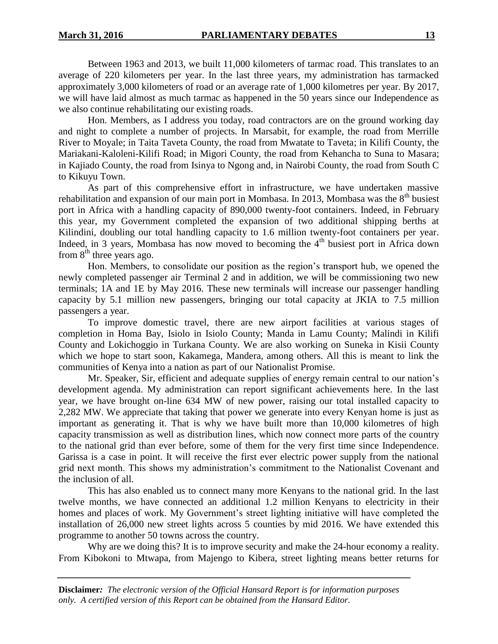Between 1963 and 2013, we built 11,000 kilometers of tarmac road. This translates to an average of 220 kilometers per year. In the last three years, my administration has tarmacked approximately 3,000 kilometers of road or an average rate of 1,000 kilometres per year. By 2017, we will have laid almost as much tarmac as happened in the 50 years since our Independence as we also continue rehabilitating our existing roads.

Hon. Members, as I address you today, road contractors are on the ground working day and night to complete a number of projects. In Marsabit, for example, the road from Merrille River to Moyale; in Taita Taveta County, the road from Mwatate to Taveta; in Kilifi County, the Mariakani-Kaloleni-Kilifi Road; in Migori County, the road from Kehancha to Suna to Masara; in Kajiado County, the road from Isinya to Ngong and, in Nairobi County, the road from South C to Kikuyu Town.

As part of this comprehensive effort in infrastructure, we have undertaken massive rehabilitation and expansion of our main port in Mombasa. In 2013, Mombasa was the  $8<sup>th</sup>$  busiest port in Africa with a handling capacity of 890,000 twenty-foot containers. Indeed, in February this year, my Government completed the expansion of two additional shipping berths at Kilindini, doubling our total handling capacity to 1.6 million twenty-foot containers per year. Indeed, in 3 years, Mombasa has now moved to becoming the  $4<sup>th</sup>$  busiest port in Africa down from  $8<sup>th</sup>$  three years ago.

Hon. Members, to consolidate our position as the region's transport hub, we opened the newly completed passenger air Terminal 2 and in addition, we will be commissioning two new terminals; 1A and 1E by May 2016. These new terminals will increase our passenger handling capacity by 5.1 million new passengers, bringing our total capacity at JKIA to 7.5 million passengers a year.

To improve domestic travel, there are new airport facilities at various stages of completion in Homa Bay, Isiolo in Isiolo County; Manda in Lamu County; Malindi in Kilifi County and Lokichoggio in Turkana County. We are also working on Suneka in Kisii County which we hope to start soon, Kakamega, Mandera, among others. All this is meant to link the communities of Kenya into a nation as part of our Nationalist Promise.

Mr. Speaker, Sir, efficient and adequate supplies of energy remain central to our nation's development agenda. My administration can report significant achievements here. In the last year, we have brought on-line 634 MW of new power, raising our total installed capacity to 2,282 MW. We appreciate that taking that power we generate into every Kenyan home is just as important as generating it. That is why we have built more than 10,000 kilometres of high capacity transmission as well as distribution lines, which now connect more parts of the country to the national grid than ever before, some of them for the very first time since Independence. Garissa is a case in point. It will receive the first ever electric power supply from the national grid next month. This shows my administration's commitment to the Nationalist Covenant and the inclusion of all.

This has also enabled us to connect many more Kenyans to the national grid. In the last twelve months, we have connected an additional 1.2 million Kenyans to electricity in their homes and places of work. My Government's street lighting initiative will have completed the installation of 26,000 new street lights across 5 counties by mid 2016. We have extended this programme to another 50 towns across the country.

Why are we doing this? It is to improve security and make the 24-hour economy a reality. From Kibokoni to Mtwapa, from Majengo to Kibera, street lighting means better returns for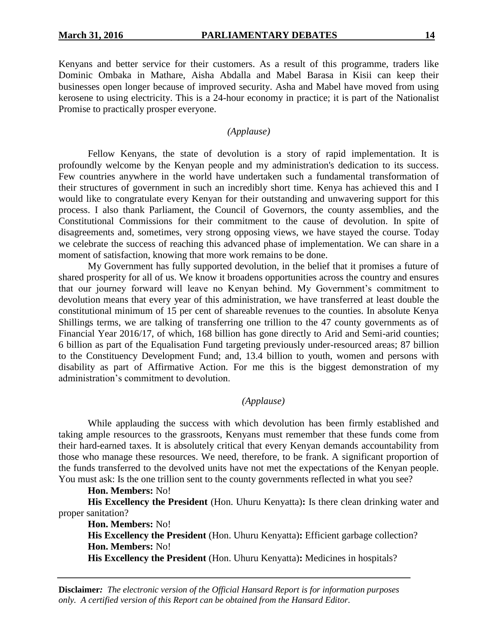Kenyans and better service for their customers. As a result of this programme, traders like Dominic Ombaka in Mathare, Aisha Abdalla and Mabel Barasa in Kisii can keep their businesses open longer because of improved security. Asha and Mabel have moved from using kerosene to using electricity. This is a 24-hour economy in practice; it is part of the Nationalist Promise to practically prosper everyone.

#### *(Applause)*

Fellow Kenyans, the state of devolution is a story of rapid implementation. It is profoundly welcome by the Kenyan people and my administration's dedication to its success. Few countries anywhere in the world have undertaken such a fundamental transformation of their structures of government in such an incredibly short time. Kenya has achieved this and I would like to congratulate every Kenyan for their outstanding and unwavering support for this process. I also thank Parliament, the Council of Governors, the county assemblies, and the Constitutional Commissions for their commitment to the cause of devolution. In spite of disagreements and, sometimes, very strong opposing views, we have stayed the course. Today we celebrate the success of reaching this advanced phase of implementation. We can share in a moment of satisfaction, knowing that more work remains to be done.

My Government has fully supported devolution, in the belief that it promises a future of shared prosperity for all of us. We know it broadens opportunities across the country and ensures that our journey forward will leave no Kenyan behind. My Government's commitment to devolution means that every year of this administration, we have transferred at least double the constitutional minimum of 15 per cent of shareable revenues to the counties. In absolute Kenya Shillings terms, we are talking of transferring one trillion to the 47 county governments as of Financial Year 2016/17, of which, 168 billion has gone directly to Arid and Semi-arid counties; 6 billion as part of the Equalisation Fund targeting previously under-resourced areas; 87 billion to the Constituency Development Fund; and, 13.4 billion to youth, women and persons with disability as part of Affirmative Action. For me this is the biggest demonstration of my administration's commitment to devolution.

## *(Applause)*

While applauding the success with which devolution has been firmly established and taking ample resources to the grassroots, Kenyans must remember that these funds come from their hard-earned taxes. It is absolutely critical that every Kenyan demands accountability from those who manage these resources. We need, therefore, to be frank. A significant proportion of the funds transferred to the devolved units have not met the expectations of the Kenyan people. You must ask: Is the one trillion sent to the county governments reflected in what you see?

#### **Hon. Members:** No!

**His Excellency the President** (Hon. Uhuru Kenyatta)**:** Is there clean drinking water and proper sanitation?

**Hon. Members:** No!

**His Excellency the President** (Hon. Uhuru Kenyatta)**:** Efficient garbage collection? **Hon. Members:** No!

**His Excellency the President** (Hon. Uhuru Kenyatta)**:** Medicines in hospitals?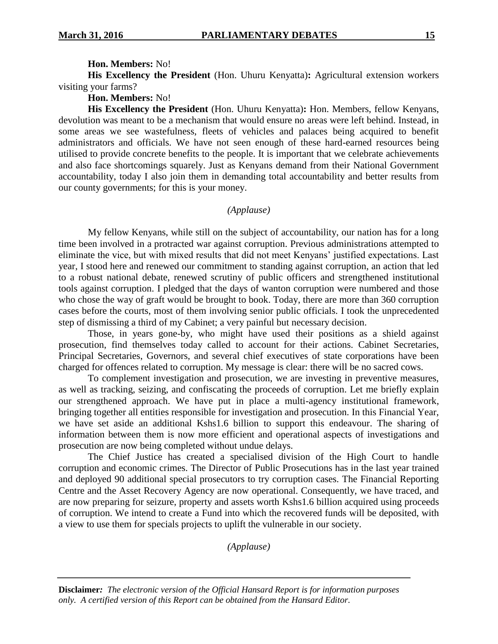#### **Hon. Members:** No!

**His Excellency the President** (Hon. Uhuru Kenyatta)**:** Agricultural extension workers visiting your farms?

**Hon. Members:** No!

**His Excellency the President** (Hon. Uhuru Kenyatta)**:** Hon. Members, fellow Kenyans, devolution was meant to be a mechanism that would ensure no areas were left behind. Instead, in some areas we see wastefulness, fleets of vehicles and palaces being acquired to benefit administrators and officials. We have not seen enough of these hard-earned resources being utilised to provide concrete benefits to the people. It is important that we celebrate achievements and also face shortcomings squarely. Just as Kenyans demand from their National Government accountability, today I also join them in demanding total accountability and better results from our county governments; for this is your money.

## *(Applause)*

My fellow Kenyans, while still on the subject of accountability, our nation has for a long time been involved in a protracted war against corruption. Previous administrations attempted to eliminate the vice, but with mixed results that did not meet Kenyans' justified expectations. Last year, I stood here and renewed our commitment to standing against corruption, an action that led to a robust national debate, renewed scrutiny of public officers and strengthened institutional tools against corruption. I pledged that the days of wanton corruption were numbered and those who chose the way of graft would be brought to book. Today, there are more than 360 corruption cases before the courts, most of them involving senior public officials. I took the unprecedented step of dismissing a third of my Cabinet; a very painful but necessary decision.

Those, in years gone-by, who might have used their positions as a shield against prosecution, find themselves today called to account for their actions. Cabinet Secretaries, Principal Secretaries, Governors, and several chief executives of state corporations have been charged for offences related to corruption. My message is clear: there will be no sacred cows.

To complement investigation and prosecution, we are investing in preventive measures, as well as tracking, seizing, and confiscating the proceeds of corruption. Let me briefly explain our strengthened approach. We have put in place a multi-agency institutional framework, bringing together all entities responsible for investigation and prosecution. In this Financial Year, we have set aside an additional Kshs1.6 billion to support this endeavour. The sharing of information between them is now more efficient and operational aspects of investigations and prosecution are now being completed without undue delays.

The Chief Justice has created a specialised division of the High Court to handle corruption and economic crimes. The Director of Public Prosecutions has in the last year trained and deployed 90 additional special prosecutors to try corruption cases. The Financial Reporting Centre and the Asset Recovery Agency are now operational. Consequently, we have traced, and are now preparing for seizure, property and assets worth Kshs1.6 billion acquired using proceeds of corruption. We intend to create a Fund into which the recovered funds will be deposited, with a view to use them for specials projects to uplift the vulnerable in our society.

*(Applause)*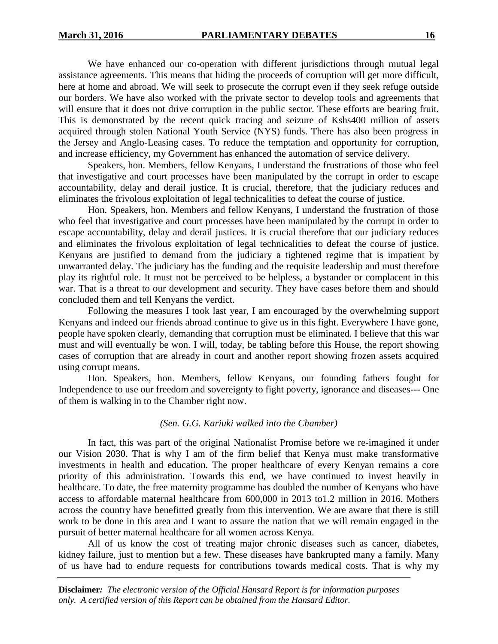We have enhanced our co-operation with different jurisdictions through mutual legal assistance agreements. This means that hiding the proceeds of corruption will get more difficult, here at home and abroad. We will seek to prosecute the corrupt even if they seek refuge outside our borders. We have also worked with the private sector to develop tools and agreements that will ensure that it does not drive corruption in the public sector. These efforts are bearing fruit. This is demonstrated by the recent quick tracing and seizure of Kshs400 million of assets acquired through stolen National Youth Service (NYS) funds. There has also been progress in the Jersey and Anglo-Leasing cases. To reduce the temptation and opportunity for corruption, and increase efficiency, my Government has enhanced the automation of service delivery.

Speakers, hon. Members, fellow Kenyans, I understand the frustrations of those who feel that investigative and court processes have been manipulated by the corrupt in order to escape accountability, delay and derail justice. It is crucial, therefore, that the judiciary reduces and eliminates the frivolous exploitation of legal technicalities to defeat the course of justice.

Hon. Speakers, hon. Members and fellow Kenyans, I understand the frustration of those who feel that investigative and court processes have been manipulated by the corrupt in order to escape accountability, delay and derail justices. It is crucial therefore that our judiciary reduces and eliminates the frivolous exploitation of legal technicalities to defeat the course of justice. Kenyans are justified to demand from the judiciary a tightened regime that is impatient by unwarranted delay. The judiciary has the funding and the requisite leadership and must therefore play its rightful role. It must not be perceived to be helpless, a bystander or complacent in this war. That is a threat to our development and security. They have cases before them and should concluded them and tell Kenyans the verdict.

Following the measures I took last year, I am encouraged by the overwhelming support Kenyans and indeed our friends abroad continue to give us in this fight. Everywhere I have gone, people have spoken clearly, demanding that corruption must be eliminated. I believe that this war must and will eventually be won. I will, today, be tabling before this House, the report showing cases of corruption that are already in court and another report showing frozen assets acquired using corrupt means.

Hon. Speakers, hon. Members, fellow Kenyans, our founding fathers fought for Independence to use our freedom and sovereignty to fight poverty, ignorance and diseases--- One of them is walking in to the Chamber right now.

#### *(Sen. G.G. Kariuki walked into the Chamber)*

In fact, this was part of the original Nationalist Promise before we re-imagined it under our Vision 2030. That is why I am of the firm belief that Kenya must make transformative investments in health and education. The proper healthcare of every Kenyan remains a core priority of this administration. Towards this end, we have continued to invest heavily in healthcare. To date, the free maternity programme has doubled the number of Kenyans who have access to affordable maternal healthcare from 600,000 in 2013 to1.2 million in 2016. Mothers across the country have benefitted greatly from this intervention. We are aware that there is still work to be done in this area and I want to assure the nation that we will remain engaged in the pursuit of better maternal healthcare for all women across Kenya.

All of us know the cost of treating major chronic diseases such as cancer, diabetes, kidney failure, just to mention but a few. These diseases have bankrupted many a family. Many of us have had to endure requests for contributions towards medical costs. That is why my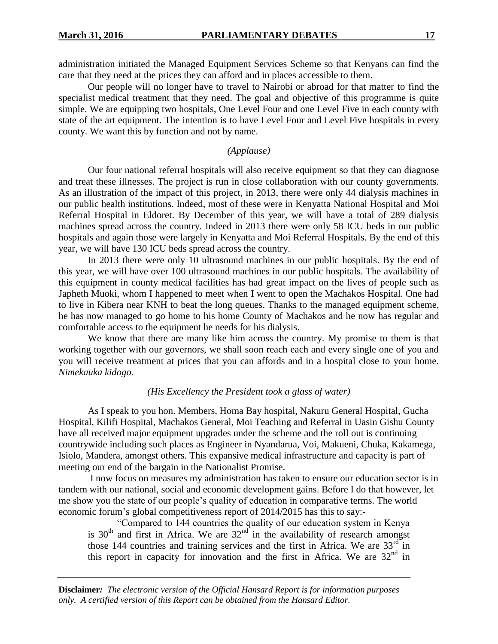administration initiated the Managed Equipment Services Scheme so that Kenyans can find the care that they need at the prices they can afford and in places accessible to them.

Our people will no longer have to travel to Nairobi or abroad for that matter to find the specialist medical treatment that they need. The goal and objective of this programme is quite simple. We are equipping two hospitals, One Level Four and one Level Five in each county with state of the art equipment. The intention is to have Level Four and Level Five hospitals in every county. We want this by function and not by name.

#### *(Applause)*

Our four national referral hospitals will also receive equipment so that they can diagnose and treat these illnesses. The project is run in close collaboration with our county governments. As an illustration of the impact of this project, in 2013, there were only 44 dialysis machines in our public health institutions. Indeed, most of these were in Kenyatta National Hospital and Moi Referral Hospital in Eldoret. By December of this year, we will have a total of 289 dialysis machines spread across the country. Indeed in 2013 there were only 58 ICU beds in our public hospitals and again those were largely in Kenyatta and Moi Referral Hospitals. By the end of this year, we will have 130 ICU beds spread across the country.

In 2013 there were only 10 ultrasound machines in our public hospitals. By the end of this year, we will have over 100 ultrasound machines in our public hospitals. The availability of this equipment in county medical facilities has had great impact on the lives of people such as Japheth Muoki, whom I happened to meet when I went to open the Machakos Hospital. One had to live in Kibera near KNH to beat the long queues. Thanks to the managed equipment scheme, he has now managed to go home to his home County of Machakos and he now has regular and comfortable access to the equipment he needs for his dialysis.

We know that there are many like him across the country. My promise to them is that working together with our governors, we shall soon reach each and every single one of you and you will receive treatment at prices that you can affords and in a hospital close to your home. *Nimekauka kidogo.*

## *(His Excellency the President took a glass of water)*

As I speak to you hon. Members, Homa Bay hospital, Nakuru General Hospital, Gucha Hospital, Kilifi Hospital, Machakos General, Moi Teaching and Referral in Uasin Gishu County have all received major equipment upgrades under the scheme and the roll out is continuing countrywide including such places as Engineer in Nyandarua, Voi, Makueni, Chuka, Kakamega, Isiolo, Mandera, amongst others. This expansive medical infrastructure and capacity is part of meeting our end of the bargain in the Nationalist Promise.

I now focus on measures my administration has taken to ensure our education sector is in tandem with our national, social and economic development gains. Before I do that however, let me show you the state of our people's quality of education in comparative terms. The world economic forum's global competitiveness report of 2014/2015 has this to say:-

"Compared to 144 countries the quality of our education system in Kenya is  $30<sup>th</sup>$  and first in Africa. We are  $32<sup>nd</sup>$  in the availability of research amongst those 144 countries and training services and the first in Africa. We are  $33<sup>rd</sup>$  in this report in capacity for innovation and the first in Africa. We are  $32<sup>nd</sup>$  in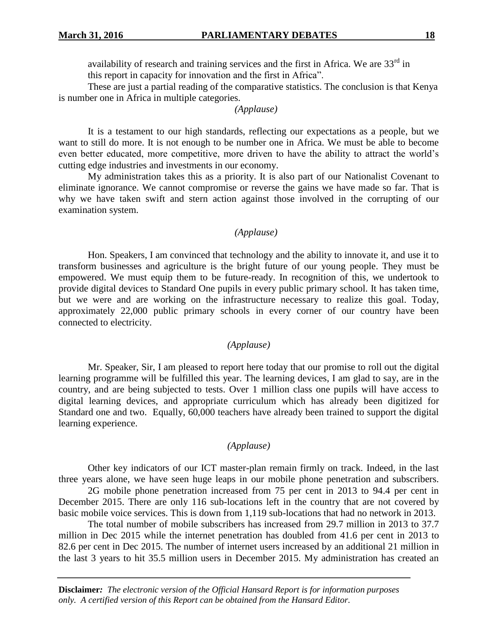availability of research and training services and the first in Africa. We are  $33<sup>rd</sup>$  in this report in capacity for innovation and the first in Africa".

These are just a partial reading of the comparative statistics. The conclusion is that Kenya is number one in Africa in multiple categories.

## *(Applause)*

It is a testament to our high standards, reflecting our expectations as a people, but we want to still do more. It is not enough to be number one in Africa. We must be able to become even better educated, more competitive, more driven to have the ability to attract the world's cutting edge industries and investments in our economy.

My administration takes this as a priority. It is also part of our Nationalist Covenant to eliminate ignorance. We cannot compromise or reverse the gains we have made so far. That is why we have taken swift and stern action against those involved in the corrupting of our examination system.

## *(Applause)*

Hon. Speakers, I am convinced that technology and the ability to innovate it, and use it to transform businesses and agriculture is the bright future of our young people. They must be empowered. We must equip them to be future-ready. In recognition of this, we undertook to provide digital devices to Standard One pupils in every public primary school. It has taken time, but we were and are working on the infrastructure necessary to realize this goal. Today, approximately 22,000 public primary schools in every corner of our country have been connected to electricity.

## *(Applause)*

Mr. Speaker, Sir, I am pleased to report here today that our promise to roll out the digital learning programme will be fulfilled this year. The learning devices, I am glad to say, are in the country, and are being subjected to tests. Over 1 million class one pupils will have access to digital learning devices, and appropriate curriculum which has already been digitized for Standard one and two. Equally, 60,000 teachers have already been trained to support the digital learning experience.

#### *(Applause)*

Other key indicators of our ICT master-plan remain firmly on track. Indeed, in the last three years alone, we have seen huge leaps in our mobile phone penetration and subscribers.

2G mobile phone penetration increased from 75 per cent in 2013 to 94.4 per cent in December 2015. There are only 116 sub-locations left in the country that are not covered by basic mobile voice services. This is down from 1,119 sub-locations that had no network in 2013.

The total number of mobile subscribers has increased from 29.7 million in 2013 to 37.7 million in Dec 2015 while the internet penetration has doubled from 41.6 per cent in 2013 to 82.6 per cent in Dec 2015. The number of internet users increased by an additional 21 million in the last 3 years to hit 35.5 million users in December 2015. My administration has created an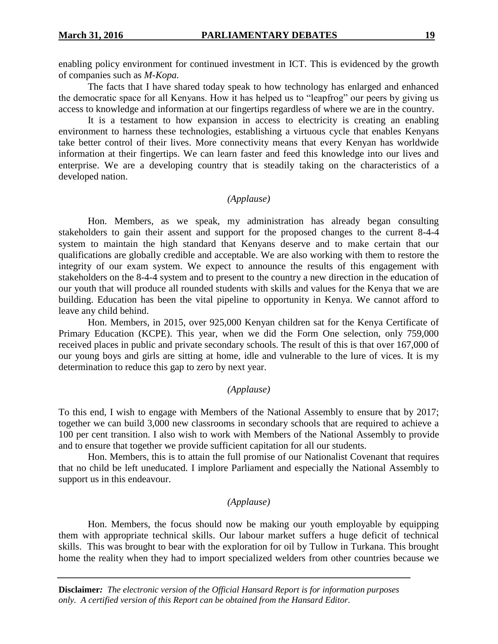enabling policy environment for continued investment in ICT. This is evidenced by the growth of companies such as *M-Kopa.*

The facts that I have shared today speak to how technology has enlarged and enhanced the democratic space for all Kenyans. How it has helped us to "leapfrog" our peers by giving us access to knowledge and information at our fingertips regardless of where we are in the country.

It is a testament to how expansion in access to electricity is creating an enabling environment to harness these technologies, establishing a virtuous cycle that enables Kenyans take better control of their lives. More connectivity means that every Kenyan has worldwide information at their fingertips. We can learn faster and feed this knowledge into our lives and enterprise. We are a developing country that is steadily taking on the characteristics of a developed nation.

# *(Applause)*

Hon. Members, as we speak, my administration has already began consulting stakeholders to gain their assent and support for the proposed changes to the current 8-4-4 system to maintain the high standard that Kenyans deserve and to make certain that our qualifications are globally credible and acceptable. We are also working with them to restore the integrity of our exam system. We expect to announce the results of this engagement with stakeholders on the 8-4-4 system and to present to the country a new direction in the education of our youth that will produce all rounded students with skills and values for the Kenya that we are building. Education has been the vital pipeline to opportunity in Kenya. We cannot afford to leave any child behind.

Hon. Members, in 2015, over 925,000 Kenyan children sat for the Kenya Certificate of Primary Education (KCPE). This year, when we did the Form One selection, only 759,000 received places in public and private secondary schools. The result of this is that over 167,000 of our young boys and girls are sitting at home, idle and vulnerable to the lure of vices. It is my determination to reduce this gap to zero by next year.

## *(Applause)*

To this end, I wish to engage with Members of the National Assembly to ensure that by 2017; together we can build 3,000 new classrooms in secondary schools that are required to achieve a 100 per cent transition. I also wish to work with Members of the National Assembly to provide and to ensure that together we provide sufficient capitation for all our students.

Hon. Members, this is to attain the full promise of our Nationalist Covenant that requires that no child be left uneducated. I implore Parliament and especially the National Assembly to support us in this endeavour.

## *(Applause)*

Hon. Members, the focus should now be making our youth employable by equipping them with appropriate technical skills. Our labour market suffers a huge deficit of technical skills. This was brought to bear with the exploration for oil by Tullow in Turkana. This brought home the reality when they had to import specialized welders from other countries because we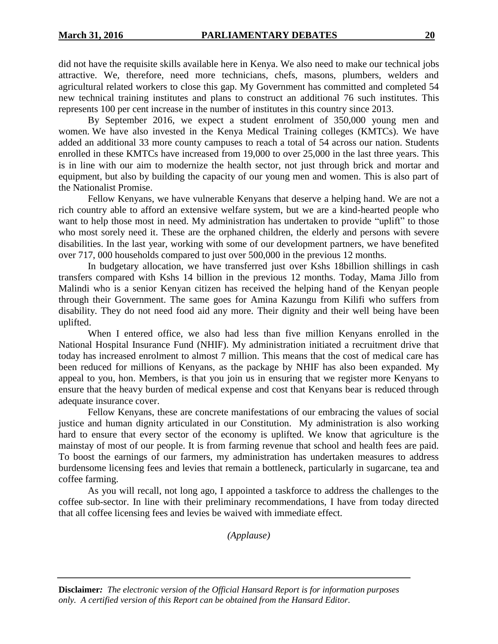did not have the requisite skills available here in Kenya. We also need to make our technical jobs attractive. We, therefore, need more technicians, chefs, masons, plumbers, welders and agricultural related workers to close this gap. My Government has committed and completed 54 new technical training institutes and plans to construct an additional 76 such institutes. This represents 100 per cent increase in the number of institutes in this country since 2013.

By September 2016, we expect a student enrolment of 350,000 young men and women. We have also invested in the Kenya Medical Training colleges (KMTCs). We have added an additional 33 more county campuses to reach a total of 54 across our nation. Students enrolled in these KMTCs have increased from 19,000 to over 25,000 in the last three years. This is in line with our aim to modernize the health sector, not just through brick and mortar and equipment, but also by building the capacity of our young men and women. This is also part of the Nationalist Promise.

Fellow Kenyans, we have vulnerable Kenyans that deserve a helping hand. We are not a rich country able to afford an extensive welfare system, but we are a kind-hearted people who want to help those most in need. My administration has undertaken to provide "uplift" to those who most sorely need it. These are the orphaned children, the elderly and persons with severe disabilities. In the last year, working with some of our development partners, we have benefited over 717, 000 households compared to just over 500,000 in the previous 12 months.

In budgetary allocation, we have transferred just over Kshs 18billion shillings in cash transfers compared with Kshs 14 billion in the previous 12 months. Today, Mama Jillo from Malindi who is a senior Kenyan citizen has received the helping hand of the Kenyan people through their Government. The same goes for Amina Kazungu from Kilifi who suffers from disability. They do not need food aid any more. Their dignity and their well being have been uplifted.

When I entered office, we also had less than five million Kenyans enrolled in the National Hospital Insurance Fund (NHIF). My administration initiated a recruitment drive that today has increased enrolment to almost 7 million. This means that the cost of medical care has been reduced for millions of Kenyans, as the package by NHIF has also been expanded. My appeal to you, hon. Members, is that you join us in ensuring that we register more Kenyans to ensure that the heavy burden of medical expense and cost that Kenyans bear is reduced through adequate insurance cover.

Fellow Kenyans, these are concrete manifestations of our embracing the values of social justice and human dignity articulated in our Constitution. My administration is also working hard to ensure that every sector of the economy is uplifted. We know that agriculture is the mainstay of most of our people. It is from farming revenue that school and health fees are paid. To boost the earnings of our farmers, my administration has undertaken measures to address burdensome licensing fees and levies that remain a bottleneck, particularly in sugarcane, tea and coffee farming.

As you will recall, not long ago, I appointed a taskforce to address the challenges to the coffee sub-sector. In line with their preliminary recommendations, I have from today directed that all coffee licensing fees and levies be waived with immediate effect.

*(Applause)*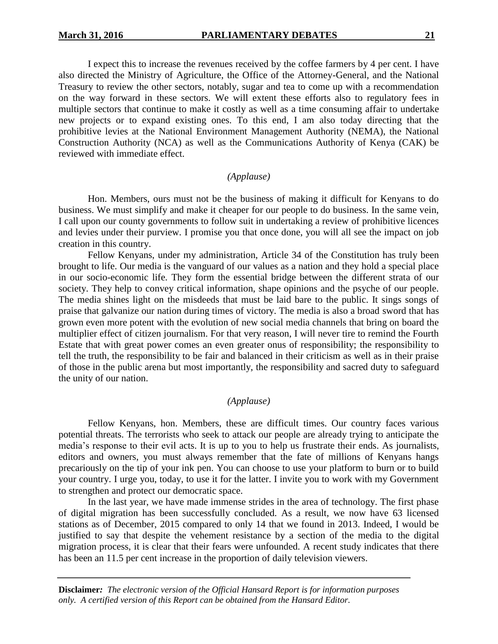I expect this to increase the revenues received by the coffee farmers by 4 per cent. I have also directed the Ministry of Agriculture, the Office of the Attorney-General, and the National Treasury to review the other sectors, notably, sugar and tea to come up with a recommendation on the way forward in these sectors. We will extent these efforts also to regulatory fees in multiple sectors that continue to make it costly as well as a time consuming affair to undertake new projects or to expand existing ones. To this end, I am also today directing that the prohibitive levies at the National Environment Management Authority (NEMA), the National Construction Authority (NCA) as well as the Communications Authority of Kenya (CAK) be reviewed with immediate effect.

## *(Applause)*

Hon. Members, ours must not be the business of making it difficult for Kenyans to do business. We must simplify and make it cheaper for our people to do business. In the same vein, I call upon our county governments to follow suit in undertaking a review of prohibitive licences and levies under their purview. I promise you that once done, you will all see the impact on job creation in this country.

Fellow Kenyans, under my administration, Article 34 of the Constitution has truly been brought to life. Our media is the vanguard of our values as a nation and they hold a special place in our socio-economic life. They form the essential bridge between the different strata of our society. They help to convey critical information, shape opinions and the psyche of our people. The media shines light on the misdeeds that must be laid bare to the public. It sings songs of praise that galvanize our nation during times of victory. The media is also a broad sword that has grown even more potent with the evolution of new social media channels that bring on board the multiplier effect of citizen journalism. For that very reason, I will never tire to remind the Fourth Estate that with great power comes an even greater onus of responsibility; the responsibility to tell the truth, the responsibility to be fair and balanced in their criticism as well as in their praise of those in the public arena but most importantly, the responsibility and sacred duty to safeguard the unity of our nation.

# *(Applause)*

Fellow Kenyans, hon. Members, these are difficult times. Our country faces various potential threats. The terrorists who seek to attack our people are already trying to anticipate the media's response to their evil acts. It is up to you to help us frustrate their ends. As journalists, editors and owners, you must always remember that the fate of millions of Kenyans hangs precariously on the tip of your ink pen. You can choose to use your platform to burn or to build your country. I urge you, today, to use it for the latter. I invite you to work with my Government to strengthen and protect our democratic space.

In the last year, we have made immense strides in the area of technology. The first phase of digital migration has been successfully concluded. As a result, we now have 63 licensed stations as of December, 2015 compared to only 14 that we found in 2013. Indeed, I would be justified to say that despite the vehement resistance by a section of the media to the digital migration process, it is clear that their fears were unfounded. A recent study indicates that there has been an 11.5 per cent increase in the proportion of daily television viewers.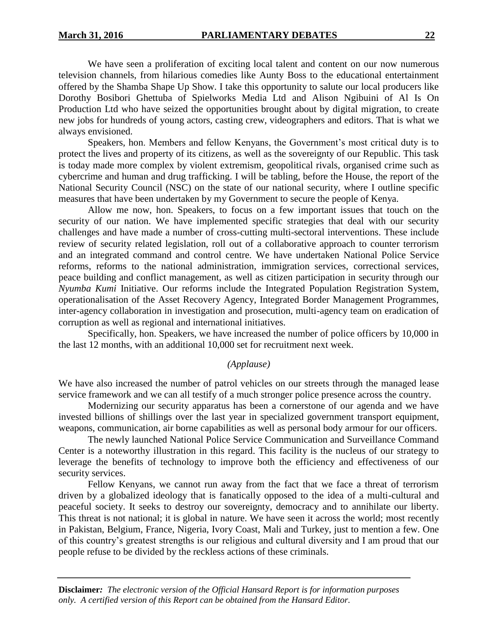We have seen a proliferation of exciting local talent and content on our now numerous television channels, from hilarious comedies like Aunty Boss to the educational entertainment offered by the Shamba Shape Up Show. I take this opportunity to salute our local producers like Dorothy Bosibori Ghettuba of Spielworks Media Ltd and Alison Ngibuini of Al Is On Production Ltd who have seized the opportunities brought about by digital migration, to create new jobs for hundreds of young actors, casting crew, videographers and editors. That is what we always envisioned.

Speakers, hon. Members and fellow Kenyans, the Government's most critical duty is to protect the lives and property of its citizens, as well as the sovereignty of our Republic. This task is today made more complex by violent extremism, geopolitical rivals, organised crime such as cybercrime and human and drug trafficking. I will be tabling, before the House, the report of the National Security Council (NSC) on the state of our national security, where I outline specific measures that have been undertaken by my Government to secure the people of Kenya.

Allow me now, hon. Speakers, to focus on a few important issues that touch on the security of our nation. We have implemented specific strategies that deal with our security challenges and have made a number of cross-cutting multi-sectoral interventions. These include review of security related legislation, roll out of a collaborative approach to counter terrorism and an integrated command and control centre. We have undertaken National Police Service reforms, reforms to the national administration, immigration services, correctional services, peace building and conflict management, as well as citizen participation in security through our *Nyumba Kumi* Initiative. Our reforms include the Integrated Population Registration System, operationalisation of the Asset Recovery Agency, Integrated Border Management Programmes, inter-agency collaboration in investigation and prosecution, multi-agency team on eradication of corruption as well as regional and international initiatives.

Specifically, hon. Speakers, we have increased the number of police officers by 10,000 in the last 12 months, with an additional 10,000 set for recruitment next week.

## *(Applause)*

We have also increased the number of patrol vehicles on our streets through the managed lease service framework and we can all testify of a much stronger police presence across the country.

Modernizing our security apparatus has been a cornerstone of our agenda and we have invested billions of shillings over the last year in specialized government transport equipment, weapons, communication, air borne capabilities as well as personal body armour for our officers.

The newly launched National Police Service Communication and Surveillance Command Center is a noteworthy illustration in this regard. This facility is the nucleus of our strategy to leverage the benefits of technology to improve both the efficiency and effectiveness of our security services.

Fellow Kenyans, we cannot run away from the fact that we face a threat of terrorism driven by a globalized ideology that is fanatically opposed to the idea of a multi-cultural and peaceful society. It seeks to destroy our sovereignty, democracy and to annihilate our liberty. This threat is not national; it is global in nature. We have seen it across the world; most recently in Pakistan, Belgium, France, Nigeria, Ivory Coast, Mali and Turkey, just to mention a few. One of this country's greatest strengths is our religious and cultural diversity and I am proud that our people refuse to be divided by the reckless actions of these criminals.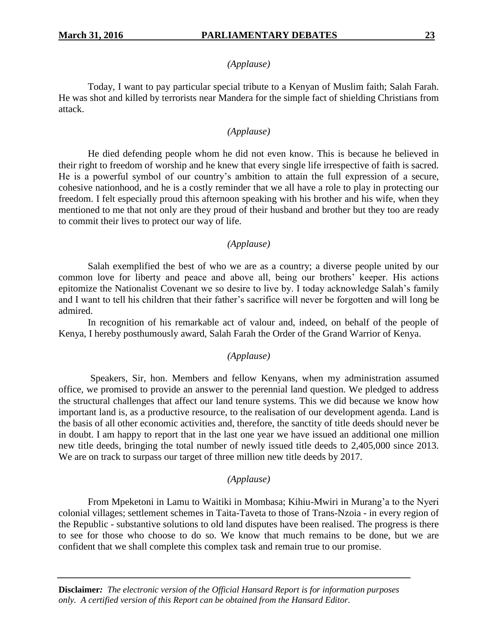#### *(Applause)*

Today, I want to pay particular special tribute to a Kenyan of Muslim faith; Salah Farah. He was shot and killed by terrorists near Mandera for the simple fact of shielding Christians from attack.

## *(Applause)*

He died defending people whom he did not even know. This is because he believed in their right to freedom of worship and he knew that every single life irrespective of faith is sacred. He is a powerful symbol of our country's ambition to attain the full expression of a secure, cohesive nationhood, and he is a costly reminder that we all have a role to play in protecting our freedom. I felt especially proud this afternoon speaking with his brother and his wife, when they mentioned to me that not only are they proud of their husband and brother but they too are ready to commit their lives to protect our way of life.

## *(Applause)*

Salah exemplified the best of who we are as a country; a diverse people united by our common love for liberty and peace and above all, being our brothers' keeper. His actions epitomize the Nationalist Covenant we so desire to live by. I today acknowledge Salah's family and I want to tell his children that their father's sacrifice will never be forgotten and will long be admired.

In recognition of his remarkable act of valour and, indeed, on behalf of the people of Kenya, I hereby posthumously award, Salah Farah the Order of the Grand Warrior of Kenya.

#### *(Applause)*

Speakers, Sir, hon. Members and fellow Kenyans, when my administration assumed office, we promised to provide an answer to the perennial land question. We pledged to address the structural challenges that affect our land tenure systems. This we did because we know how important land is, as a productive resource, to the realisation of our development agenda. Land is the basis of all other economic activities and, therefore, the sanctity of title deeds should never be in doubt. I am happy to report that in the last one year we have issued an additional one million new title deeds, bringing the total number of newly issued title deeds to 2,405,000 since 2013. We are on track to surpass our target of three million new title deeds by 2017.

### *(Applause)*

From Mpeketoni in Lamu to Waitiki in Mombasa; Kihiu-Mwiri in Murang'a to the Nyeri colonial villages; settlement schemes in Taita-Taveta to those of Trans-Nzoia - in every region of the Republic - substantive solutions to old land disputes have been realised. The progress is there to see for those who choose to do so. We know that much remains to be done, but we are confident that we shall complete this complex task and remain true to our promise.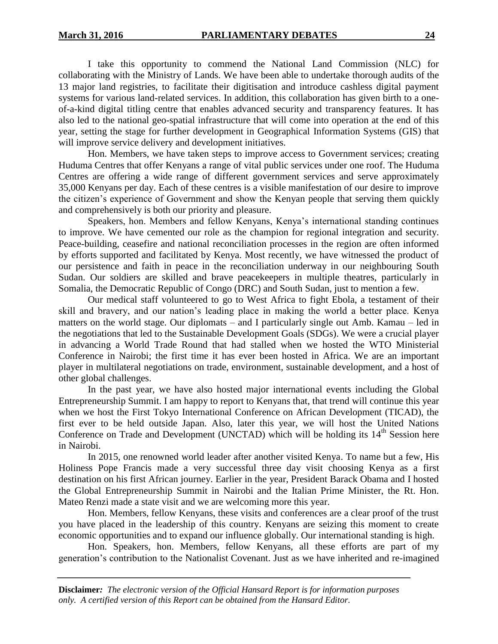I take this opportunity to commend the National Land Commission (NLC) for collaborating with the Ministry of Lands. We have been able to undertake thorough audits of the 13 major land registries, to facilitate their digitisation and introduce cashless digital payment systems for various land-related services. In addition, this collaboration has given birth to a oneof-a-kind digital titling centre that enables advanced security and transparency features. It has also led to the national geo-spatial infrastructure that will come into operation at the end of this year, setting the stage for further development in Geographical Information Systems (GIS) that will improve service delivery and development initiatives.

Hon. Members, we have taken steps to improve access to Government services; creating Huduma Centres that offer Kenyans a range of vital public services under one roof. The Huduma Centres are offering a wide range of different government services and serve approximately 35,000 Kenyans per day. Each of these centres is a visible manifestation of our desire to improve the citizen's experience of Government and show the Kenyan people that serving them quickly and comprehensively is both our priority and pleasure.

Speakers, hon. Members and fellow Kenyans, Kenya's international standing continues to improve. We have cemented our role as the champion for regional integration and security. Peace-building, ceasefire and national reconciliation processes in the region are often informed by efforts supported and facilitated by Kenya. Most recently, we have witnessed the product of our persistence and faith in peace in the reconciliation underway in our neighbouring South Sudan. Our soldiers are skilled and brave peacekeepers in multiple theatres, particularly in Somalia, the Democratic Republic of Congo (DRC) and South Sudan, just to mention a few.

Our medical staff volunteered to go to West Africa to fight Ebola, a testament of their skill and bravery, and our nation's leading place in making the world a better place. Kenya matters on the world stage. Our diplomats – and I particularly single out Amb. Kamau – led in the negotiations that led to the Sustainable Development Goals (SDGs). We were a crucial player in advancing a World Trade Round that had stalled when we hosted the WTO Ministerial Conference in Nairobi; the first time it has ever been hosted in Africa. We are an important player in multilateral negotiations on trade, environment, sustainable development, and a host of other global challenges.

In the past year, we have also hosted major international events including the Global Entrepreneurship Summit. I am happy to report to Kenyans that, that trend will continue this year when we host the First Tokyo International Conference on African Development (TICAD), the first ever to be held outside Japan. Also, later this year, we will host the United Nations Conference on Trade and Development (UNCTAD) which will be holding its 14<sup>th</sup> Session here in Nairobi.

In 2015, one renowned world leader after another visited Kenya. To name but a few, His Holiness Pope Francis made a very successful three day visit choosing Kenya as a first destination on his first African journey. Earlier in the year, President Barack Obama and I hosted the Global Entrepreneurship Summit in Nairobi and the Italian Prime Minister, the Rt. Hon. Mateo Renzi made a state visit and we are welcoming more this year.

Hon. Members, fellow Kenyans, these visits and conferences are a clear proof of the trust you have placed in the leadership of this country. Kenyans are seizing this moment to create economic opportunities and to expand our influence globally. Our international standing is high.

Hon. Speakers, hon. Members, fellow Kenyans, all these efforts are part of my generation's contribution to the Nationalist Covenant. Just as we have inherited and re-imagined